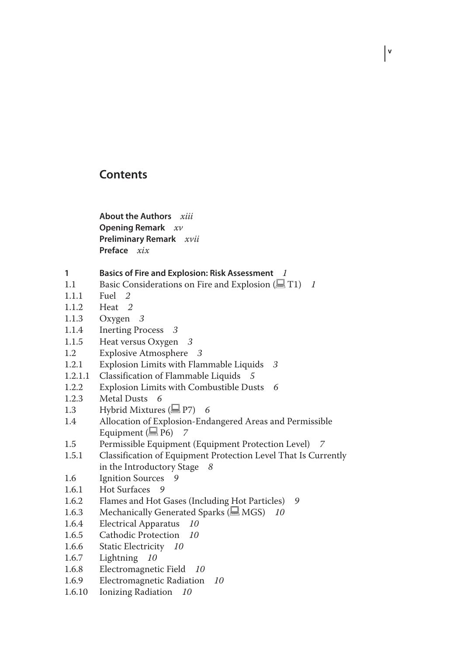#### **Contents**

**About the Authors** *xiii* **Opening Remark** *xv* **Preliminary Remark** *xvii* **Preface** *xix*

- **1 Basics of Fire and Explosion: Risk Assessment** *1*
- 1.1 Basic Considerations on Fire and Explosion ( $\Box$  T1) *1*

**v**

- 1.1.1 Fuel *2*
- 1.1.2 Heat *2*
- Oxygen 3
- 1.1.4 Inerting Process *3*
- 1.1.5 Heat versus Oxygen *3*
- 1.2 Explosive Atmosphere *3*
- 1.2.1 Explosion Limits with Flammable Liquids *3*
- 1.2.1.1 Classification of Flammable Liquids *5*
- 1.2.2 Explosion Limits with Combustible Dusts *6*
- 1.2.3 Metal Dusts *6*
- 1.3 Hybrid Mixtures (**Q** P7) 6<br>1.4 Allocation of Explosion-End
- Allocation of Explosion-Endangered Areas and Permissible Equipment  $(\blacksquare$  P6) 7
- 1.5 Permissible Equipment (Equipment Protection Level) *7*
- 1.5.1 Classification of Equipment Protection Level That Is Currently in the Introductory Stage *8*
- 1.6 Ignition Sources *9*
- Hot Surfaces 9
- 1.6.2 Flames and Hot Gases (Including Hot Particles) *9*
- 1.6.3 Mechanically Generated Sparks ( $\Box$  MGS) 10
- 1.6.4 Electrical Apparatus *10*
- Cathodic Protection 10
- 1.6.6 Static Electricity *10*
- Lightning 10
- 1.6.8 Electromagnetic Field *10*
- Electromagnetic Radiation 10
- 1.6.10 Ionizing Radiation *10*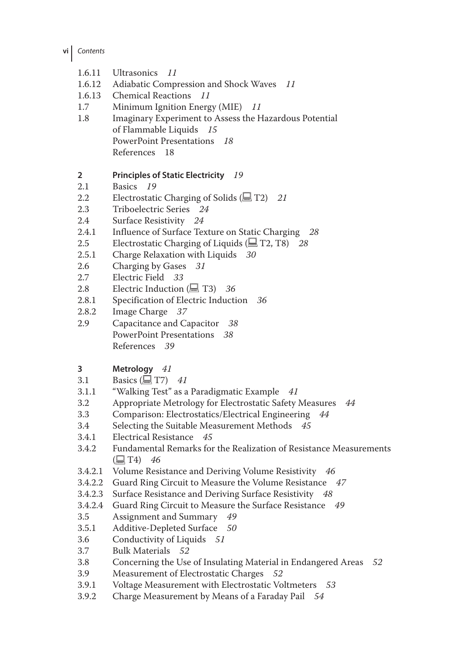- **vi** *Contents*
	- 1.6.11 Ultrasonics *11*
	- 1.6.12 Adiabatic Compression and Shock Waves *11*
	- 1.6.13 Chemical Reactions *11*
	- 1.7 Minimum Ignition Energy (MIE) *11*
	- 1.8 Imaginary Experiment to Assess the Hazardous Potential of Flammable Liquids *15* PowerPoint Presentations *18* References 18

### **2 Principles of Static Electricity** *19*

- Basics 19
- 2.2 Electrostatic Charging of Solids ( $\Box$  T2) *21*<br>2.3 Triboelectric Series 24
- 2.3 Triboelectric Series *24*
- 2.4 Surface Resistivity *24*
- 2.4.1 Influence of Surface Texture on Static Charging *28*<br>2.5 Electrostatic Charging of Liquids ( $\Box$  T2, T8) *28*
- Electrostatic Charging of Liquids ( $\Box$  T2, T8) 28
- 2.5.1 Charge Relaxation with Liquids *30*
- 2.6 Charging by Gases *31*
- 2.7 Electric Field *33*
- 2.8 Electric Induction  $(\equiv 73)$  *36*<br>2.8.1 Specification of Electric Induction
- 2.8.1 Specification of Electric Induction *36*
- 2.8.2 Image Charge 37<br>2.9 Capacitance and Ca
- 2.9 Capacitance and Capacitor *38* PowerPoint Presentations *38* References *39*

# **3 Metrology** *41*<br>**3.1 Basics** ( $\Box$  T7)

- 3.1 Basics  $(\Box \top 7)$  41<br>3.1.1 "Walking Test" as a
- 3.1.1 "Walking Test" as a Paradigmatic Example *41*
- 3.2 Appropriate Metrology for Electrostatic Safety Measures *44*
- 3.3 Comparison: Electrostatics/Electrical Engineering *44*
- 3.4 Selecting the Suitable Measurement Methods *45*
- 3.4.1 Electrical Resistance *45*
- 3.4.2 Fundamental Remarks for the Realization of Resistance Measurements  $(\Box$  T<sub>4</sub>) 46
- 3.4.2.1 Volume Resistance and Deriving Volume Resistivity *46*
- 3.4.2.2 Guard Ring Circuit to Measure the Volume Resistance *47*
- 3.4.2.3 Surface Resistance and Deriving Surface Resistivity *48*
- 3.4.2.4 Guard Ring Circuit to Measure the Surface Resistance *49*
- 3.5 Assignment and Summary *49*
- 3.5.1 Additive-Depleted Surface 50<br>3.6 Conductivity of Liquids 51
- 3.6 Conductivity of Liquids *51*
- 3.7 Bulk Materials *52*
- 3.8 Concerning the Use of Insulating Material in Endangered Areas *52*
- 3.9 Measurement of Electrostatic Charges *52*
- 3.9.1 Voltage Measurement with Electrostatic Voltmeters *53*
- 3.9.2 Charge Measurement by Means of a Faraday Pail *54*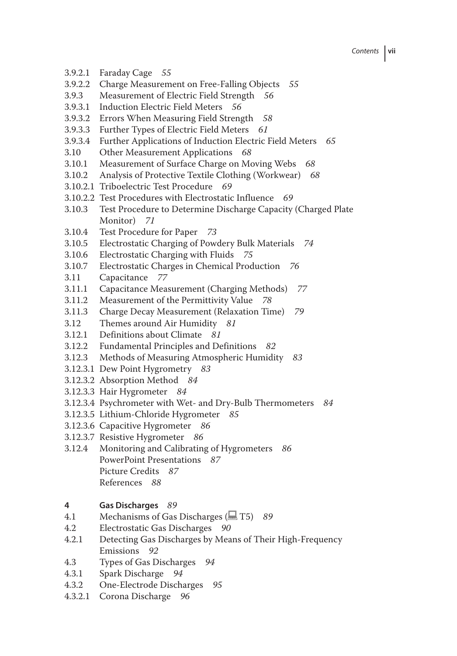- 3.9.2.1 Faraday Cage *55*
- 3.9.2.2 Charge Measurement on Free‐Falling Objects *55*
- 3.9.3 Measurement of Electric Field Strength *56*
- 3.9.3.1 Induction Electric Field Meters *56*
- 3.9.3.2 Errors When Measuring Field Strength *58*
- 3.9.3.3 Further Types of Electric Field Meters *61*
- 3.9.3.4 Further Applications of Induction Electric Field Meters *65*
- 3.10 Other Measurement Applications *68*
- 3.10.1 Measurement of Surface Charge on Moving Webs *68*
- 3.10.2 Analysis of Protective Textile Clothing (Workwear) *68*
- 3.10.2.1 Triboelectric Test Procedure *69*
- 3.10.2.2 Test Procedures with Electrostatic Influence *69*
- 3.10.3 Test Procedure to Determine Discharge Capacity (Charged Plate Monitor) *71*
- 3.10.4 Test Procedure for Paper *73*
- 3.10.5 Electrostatic Charging of Powdery Bulk Materials *74*
- 
- 3.10.6 Electrostatic Charging with Fluids *75* 3.10.7 Electrostatic Charges in Chemical Production *76*
- 3.11 Capacitance *77*
- 3.11.1 Capacitance Measurement (Charging Methods) *77*
- 3.11.2 Measurement of the Permittivity Value *78*
- 3.11.3 Charge Decay Measurement (Relaxation Time) *79*
- 3.12 Themes around Air Humidity *81*
- 3.12.1 Definitions about Climate *81*
- 3.12.2 Fundamental Principles and Definitions *82*
- 3.12.3 Methods of Measuring Atmospheric Humidity *83*
- 3.12.3.1 Dew Point Hygrometry *83*
- 3.12.3.2 Absorption Method *84*
- 3.12.3.3 Hair Hygrometer *84*
- 3.12.3.4 Psychrometer with Wet‐ and Dry‐Bulb Thermometers *84*
- 3.12.3.5 Lithium‐Chloride Hygrometer *85*
- 3.12.3.6 Capacitive Hygrometer *86*
- 3.12.3.7 Resistive Hygrometer *86*
- 3.12.4 Monitoring and Calibrating of Hygrometers *86* PowerPoint Presentations *87* Picture Credits *87* References *88*

## **4 Gas Discharges** *89*

- 4.1 Mechanisms of Gas Discharges (**E** T5) 89<br>4.2 Electrostatic Gas Discharges 90
- 4.2 Electrostatic Gas Discharges *90*
- Detecting Gas Discharges by Means of Their High-Frequency Emissions *92*
- 4.3 Types of Gas Discharges *94*
- 4.3.1 Spark Discharge *94*
- 4.3.2 One‐Electrode Discharges *95*
- 4.3.2.1 Corona Discharge *96*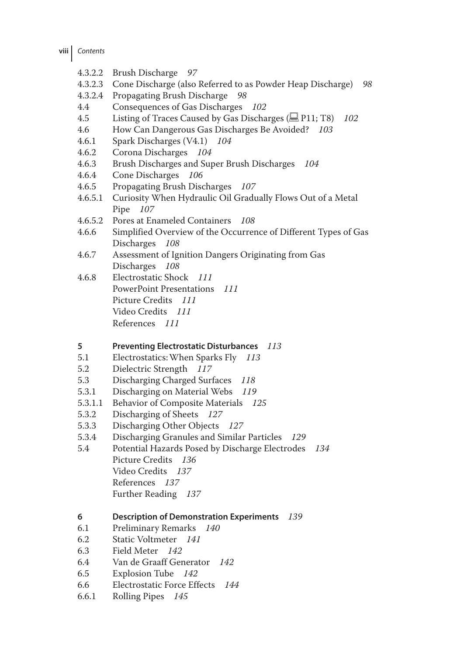- **viii** *Contents*
	- 4.3.2.2 Brush Discharge *97*
	- 4.3.2.3 Cone Discharge (also Referred to as Powder Heap Discharge) *98*
	- 4.3.2.4 Propagating Brush Discharge *98*
	- 4.4 Consequences of Gas Discharges *102*
	- 4.5 Listing of Traces Caused by Gas Discharges (**E** P11; T8) 102
	- 4.6 How Can Dangerous Gas Discharges Be Avoided? *103*
	- 4.6.1 Spark Discharges (V4.1) *104*
	- 4.6.2 Corona Discharges *104*
	- 4.6.3 Brush Discharges and Super Brush Discharges *104*
	- 4.6.4 Cone Discharges *106*
	- 4.6.5 Propagating Brush Discharges *107*
	- 4.6.5.1 Curiosity When Hydraulic Oil Gradually Flows Out of a Metal Pipe *107*
	- 4.6.5.2 Pores at Enameled Containers *108*
	- 4.6.6 Simplified Overview of the Occurrence of Different Types of Gas Discharges *108*
	- 4.6.7 Assessment of Ignition Dangers Originating from Gas Discharges *108*
	- 4.6.8 Electrostatic Shock *111* PowerPoint Presentations *111* Picture Credits *111* Video Credits *111* References *111*
	- **5 Preventing Electrostatic Disturbances** *113*
	- 5.1 Electrostatics:When Sparks Fly *113*
	- 5.2 Dielectric Strength *117*
	- 5.3 Discharging Charged Surfaces *118*
	- 5.3.1 Discharging on Material Webs *119*
	- 5.3.1.1 Behavior of Composite Materials *125*
	- 5.3.2 Discharging of Sheets *127*
	- 5.3.3 Discharging Other Objects *127*
	- 5.3.4 Discharging Granules and Similar Particles *129*
	- 5.4 Potential Hazards Posed by Discharge Electrodes *134* Picture Credits *136* Video Credits *137* References *137* Further Reading *137*
	- **6 Description of Demonstration Experiments** *139*
	- 6.1 Preliminary Remarks *140*
	- 6.2 Static Voltmeter *141*
	- 6.3 Field Meter *142*
	- 6.4 Van de Graaff Generator *142*
	- 6.5 Explosion Tube *142*
	- 6.6 Electrostatic Force Effects *144*
	- 6.6.1 Rolling Pipes *145*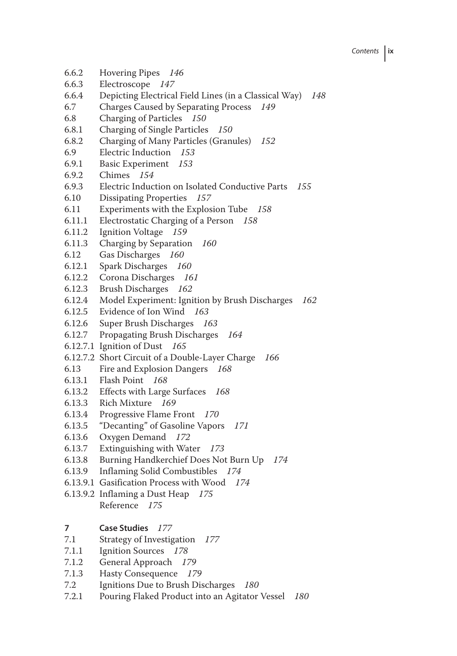- 6.6.2 Hovering Pipes *146*
- 6.6.3 Electroscope *147*
- 6.6.4 Depicting Electrical Field Lines (in a Classical Way) *148*
- 6.7 Charges Caused by Separating Process *149*
- 6.8 Charging of Particles *150*
- 6.8.1 Charging of Single Particles *150*
- 6.8.2 Charging of Many Particles (Granules) *152*
- 6.9 Electric Induction *153*
- 6.9.1 Basic Experiment *153*
- 6.9.2 Chimes *154*
- 6.9.3 Electric Induction on Isolated Conductive Parts *155*
- 6.10 Dissipating Properties *157*
- 6.11 Experiments with the Explosion Tube *158*
- 6.11.1 Electrostatic Charging of a Person *158*
- 6.11.2 Ignition Voltage *159*
- 6.11.3 Charging by Separation *160*
- 6.12 Gas Discharges *160*
- 6.12.1 Spark Discharges *160*
- 6.12.2 Corona Discharges *161*
- 6.12.3 Brush Discharges *162*
- 6.12.4 Model Experiment: Ignition by Brush Discharges *162*
- 6.12.5 Evidence of Ion Wind *163*
- 6.12.6 Super Brush Discharges *163*
- 6.12.7 Propagating Brush Discharges *164*
- 6.12.7.1 Ignition of Dust *165*
- 6.12.7.2 Short Circuit of a Double‐Layer Charge *166*
- 6.13 Fire and Explosion Dangers *168*
- 6.13.1 Flash Point *168*
- 6.13.2 Effects with Large Surfaces *168*
- 6.13.3 Rich Mixture *169*
- 6.13.4 Progressive Flame Front *170*
- 6.13.5 "Decanting" of Gasoline Vapors *171*
- 6.13.6 Oxygen Demand *172*
- 6.13.7 Extinguishing with Water *173*
- 6.13.8 Burning Handkerchief Does Not Burn Up *174*
- 6.13.9 Inflaming Solid Combustibles *174*
- 6.13.9.1 Gasification Process with Wood *174*
- 6.13.9.2 Inflaming a Dust Heap *175* Reference *175*
- **7 Case Studies** *177*
- 7.1 Strategy of Investigation *177*
- 7.1.1 Ignition Sources *178*
- 7.1.2 General Approach *179*
- 7.1.3 Hasty Consequence *179*
- 7.2 Ignitions Due to Brush Discharges *180*
- 7.2.1 Pouring Flaked Product into an Agitator Vessel *180*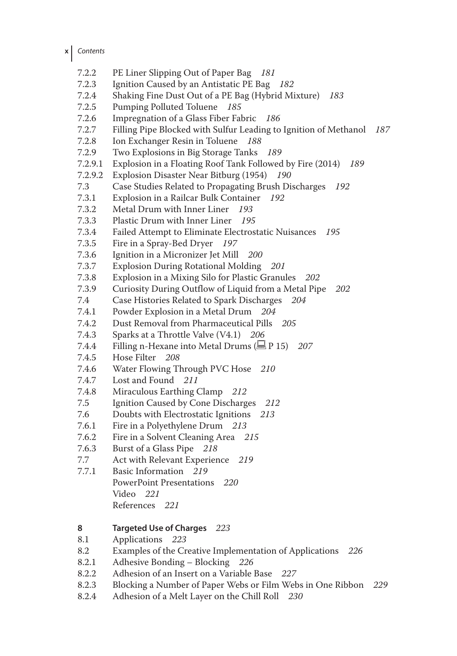- **x** *Contents*
	- 7.2.2 PE Liner Slipping Out of Paper Bag *181*
	- 7.2.3 Ignition Caused by an Antistatic PE Bag *182*
	- 7.2.4 Shaking Fine Dust Out of a PE Bag (Hybrid Mixture) *183*
	- 7.2.5 Pumping Polluted Toluene *185*
	- 7.2.6 Impregnation of a Glass Fiber Fabric *186*
	- 7.2.7 Filling Pipe Blocked with Sulfur Leading to Ignition of Methanol *187*
	- 7.2.8 Ion Exchanger Resin in Toluene *188*
	- 7.2.9 Two Explosions in Big Storage Tanks *189*
	- 7.2.9.1 Explosion in a Floating Roof Tank Followed by Fire (2014) *189*
	- 7.2.9.2 Explosion Disaster Near Bitburg (1954) *190*
	- 7.3 Case Studies Related to Propagating Brush Discharges *192*
	- 7.3.1 Explosion in a Railcar Bulk Container *192*
	- 7.3.2 Metal Drum with Inner Liner *193*
	- 7.3.3 Plastic Drum with Inner Liner *195*
	- 7.3.4 Failed Attempt to Eliminate Electrostatic Nuisances *195*
	- Fire in a Spray-Bed Dryer 197
	- 7.3.6 Ignition in a Micronizer Jet Mill *200*
	- 7.3.7 Explosion During Rotational Molding *201*
	- 7.3.8 Explosion in a Mixing Silo for Plastic Granules *202*
	- 7.3.9 Curiosity During Outflow of Liquid from a Metal Pipe *202*
	- 7.4 Case Histories Related to Spark Discharges *204*
	- 7.4.1 Powder Explosion in a Metal Drum *204*
	- 7.4.2 Dust Removal from Pharmaceutical Pills *205*
	- 7.4.3 Sparks at a Throttle Valve (V4.1) *206*
	- 7.4.4 Filling n-Hexane into Metal Drums ( $\Box$  P 15) *207*<br>7.4.5 Hose Filter *208*
	- 7.4.5 Hose Filter *208*
	- 7.4.6 Water Flowing Through PVC Hose *210*
	- 7.4.7 Lost and Found *211*
	- 7.4.8 Miraculous Earthing Clamp *212*
	- 7.5 Ignition Caused by Cone Discharges *212*
	- 7.6 Doubts with Electrostatic Ignitions *213*
	- 7.6.1 Fire in a Polyethylene Drum *213*
	- 7.6.2 Fire in a Solvent Cleaning Area *215*
	- 7.6.3 Burst of a Glass Pipe *218*
	- 7.7 Act with Relevant Experience *219*
	- 7.7.1 Basic Information *219* PowerPoint Presentations *220* Video *221* References *221*

# **8 Targeted Use of Charges** *223*

- 8.1 Applications *223*
- 8.2 Examples of the Creative Implementation of Applications *226*
- 8.2.1 Adhesive Bonding Blocking *226*
- 8.2.2 Adhesion of an Insert on a Variable Base *227*
- 8.2.3 Blocking a Number of Paper Webs or Film Webs in One Ribbon *229*
- 8.2.4 Adhesion of a Melt Layer on the Chill Roll *230*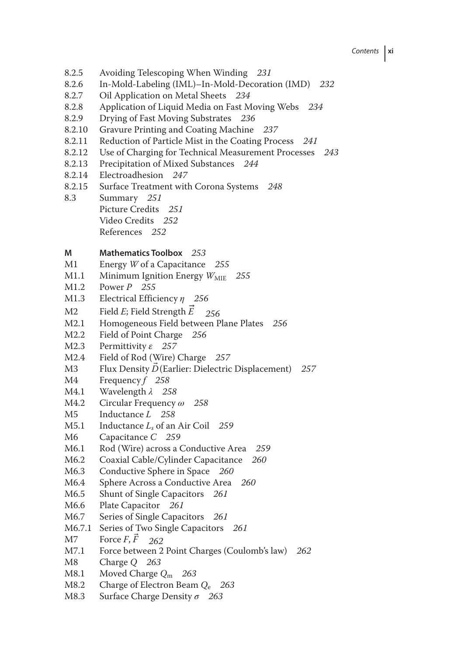*Contents* **xi**

- 8.2.5 Avoiding Telescoping When Winding *231*
- 8.2.6 In‐Mold‐Labeling (IML)–In‐Mold‐Decoration (IMD) *232*
- 8.2.7 Oil Application on Metal Sheets *234*
- 8.2.8 Application of Liquid Media on Fast Moving Webs *234*
- 8.2.9 Drying of Fast Moving Substrates *236*
- 8.2.10 Gravure Printing and Coating Machine *237*
- 8.2.11 Reduction of Particle Mist in the Coating Process *241*
- 8.2.12 Use of Charging for Technical Measurement Processes *243*
- 8.2.13 Precipitation of Mixed Substances *244*
- 8.2.14 Electroadhesion *247*
- 8.2.15 Surface Treatment with Corona Systems *248*
- 8.3 Summary *251* Picture Credits *251* Video Credits *252* References *252*

# **M Mathematics Toolbox** 253<br>**M1 Energy** *W* **of a Capacitance**

- Energy *W* of a Capacitance 255
- M1.1 Minimum Ignition Energy  $W_{\text{MIE}}$  255<br>M1.2 Power P 255
- M1.2 Power *P 255*
- M1.3 Electrical Efficiency *η 256*
- M2 Field *E*; Field Strength *E* 256<br>M2.1 Homogeneous Field between P
- M2.1 Homogeneous Field between Plane Plates *256*
- M2.2 Field of Point Charge 256<br>M2.3 Permittivity *s* 257
- M2.3 Permittivity *ε 257*
- M2.4 Field of Rod (Wire) Charge 257<br>M3 Flux Density  $\vec{D}$  (Earlier: Dielectric
- M3 Flux Density  $\overline{D}$  (Earlier: Dielectric Displacement) *257*<br>M4 Frequency *f* 258
- Frequency *f* 258
- M4.1 Wavelength *λ 258*
- M4.2 Circular Frequency *ω 258*
- M5 Inductance *L* 258<br>M5.1 Inductance *L* of an
- M5.1 Inductance *Ls* of an Air Coil *259*
- Capacitance *C* 259
- M6.1 Rod (Wire) across a Conductive Area *259*
- M6.2 Coaxial Cable/Cylinder Capacitance *260*
- M6.3 Conductive Sphere in Space 260<br>M6.4 Sphere Across a Conductive Area
- M6.4 Sphere Across a Conductive Area *260*
- Shunt of Single Capacitors 261
- M6.6 Plate Capacitor *261*
- Series of Single Capacitors 261
- M6.7.1 Series of Two Single Capacitors *261*
- M7 Force  $\vec{F}$ ,  $\vec{F}$  262<br>M7.1 Force between 2
- Force between 2 Point Charges (Coulomb's law) 262
- M8 Charge *Q 263*
- M8.1 Moved Charge *Q*<sup>m</sup> *263*
- M8.2 Charge of Electron Beam *Q*<sub>e</sub> 263<br>M8.3 Surface Charge Density σ 263
- Surface Charge Density *σ* 263